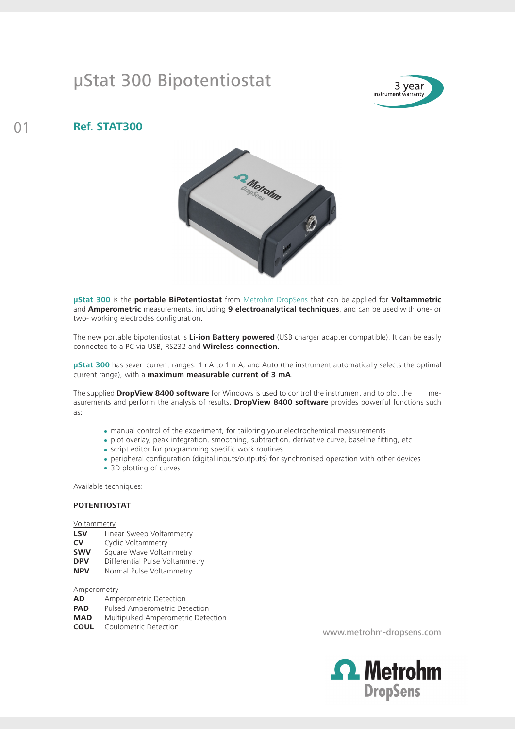## µStat 300 Bipotentiostat



### 01 **Ref. STAT300**



**µStat 300** is the **portable BiPotentiostat** from Metrohm DropSens that can be applied for **Voltammetric**  and **Amperometric** measurements, including **9 electroanalytical techniques**, and can be used with one- or two- working electrodes configuration.

The new portable bipotentiostat is **Li-ion Battery powered** (USB charger adapter compatible). It can be easily connected to a PC via USB, RS232 and **Wireless connection**.

**µStat 300** has seven current ranges: 1 nA to 1 mA, and Auto (the instrument automatically selects the optimal current range), with a **maximum measurable current of 3 mA**.

The supplied **DropView 8400 software** for Windows is used to control the instrument and to plot the measurements and perform the analysis of results. **DropView 8400 software** provides powerful functions such as:

- manual control of the experiment, for tailoring your electrochemical measurements
- plot overlay, peak integration, smoothing, subtraction, derivative curve, baseline fitting, etc
- script editor for programming specific work routines
- peripheral configuration (digital inputs/outputs) for synchronised operation with other devices
- 3D plotting of curves

Available techniques:

#### **POTENTIOSTAT**

**Voltammetry** 

- **LSV** Linear Sweep Voltammetry
- **CV** Cyclic Voltammetry
- **SWV** Square Wave Voltammetry
- **DPV** Differential Pulse Voltammetry
- **NPV** Normal Pulse Voltammetry

#### Amperometry

- **AD** Amperometric Detection
- **PAD** Pulsed Amperometric Detection
- **MAD** Multipulsed Amperometric Detection
- **COUL** Coulometric Detection

www.metrohm-dropsens.com